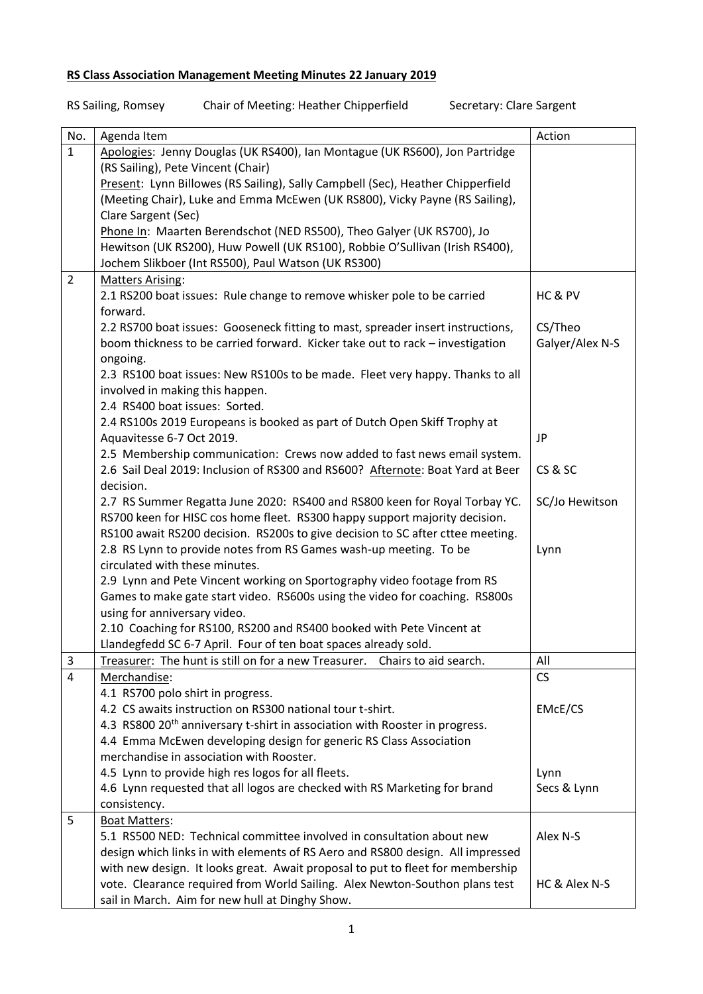## **RS Class Association Management Meeting Minutes 22 January 2019**

| No.            | Agenda Item                                                                             | Action          |
|----------------|-----------------------------------------------------------------------------------------|-----------------|
| $\mathbf{1}$   | Apologies: Jenny Douglas (UK RS400), Ian Montague (UK RS600), Jon Partridge             |                 |
|                | (RS Sailing), Pete Vincent (Chair)                                                      |                 |
|                | Present: Lynn Billowes (RS Sailing), Sally Campbell (Sec), Heather Chipperfield         |                 |
|                | (Meeting Chair), Luke and Emma McEwen (UK RS800), Vicky Payne (RS Sailing),             |                 |
|                | Clare Sargent (Sec)                                                                     |                 |
|                | Phone In: Maarten Berendschot (NED RS500), Theo Galyer (UK RS700), Jo                   |                 |
|                | Hewitson (UK RS200), Huw Powell (UK RS100), Robbie O'Sullivan (Irish RS400),            |                 |
|                | Jochem Slikboer (Int RS500), Paul Watson (UK RS300)                                     |                 |
| $\overline{2}$ | <b>Matters Arising:</b>                                                                 |                 |
|                | 2.1 RS200 boat issues: Rule change to remove whisker pole to be carried                 | HC & PV         |
|                | forward.                                                                                |                 |
|                | 2.2 RS700 boat issues: Gooseneck fitting to mast, spreader insert instructions,         | CS/Theo         |
|                | boom thickness to be carried forward. Kicker take out to rack - investigation           | Galyer/Alex N-S |
|                | ongoing.                                                                                |                 |
|                | 2.3 RS100 boat issues: New RS100s to be made. Fleet very happy. Thanks to all           |                 |
|                | involved in making this happen.                                                         |                 |
|                | 2.4 RS400 boat issues: Sorted.                                                          |                 |
|                | 2.4 RS100s 2019 Europeans is booked as part of Dutch Open Skiff Trophy at               |                 |
|                | Aquavitesse 6-7 Oct 2019.                                                               | JP              |
|                | 2.5 Membership communication: Crews now added to fast news email system.                |                 |
|                | 2.6 Sail Deal 2019: Inclusion of RS300 and RS600? Afternote: Boat Yard at Beer          | CS&SC           |
|                | decision.                                                                               |                 |
|                | 2.7 RS Summer Regatta June 2020: RS400 and RS800 keen for Royal Torbay YC.              | SC/Jo Hewitson  |
|                | RS700 keen for HISC cos home fleet. RS300 happy support majority decision.              |                 |
|                | RS100 await RS200 decision. RS200s to give decision to SC after cttee meeting.          |                 |
|                | 2.8 RS Lynn to provide notes from RS Games wash-up meeting. To be                       | Lynn            |
|                | circulated with these minutes.                                                          |                 |
|                | 2.9 Lynn and Pete Vincent working on Sportography video footage from RS                 |                 |
|                | Games to make gate start video. RS600s using the video for coaching. RS800s             |                 |
|                | using for anniversary video.                                                            |                 |
|                | 2.10 Coaching for RS100, RS200 and RS400 booked with Pete Vincent at                    |                 |
|                | Llandegfedd SC 6-7 April. Four of ten boat spaces already sold.                         |                 |
| $\mathbf{3}$   | Treasurer: The hunt is still on for a new Treasurer. Chairs to aid search.              | All             |
| $\overline{4}$ | Merchandise:                                                                            | CS              |
|                | 4.1 RS700 polo shirt in progress.                                                       |                 |
|                | 4.2 CS awaits instruction on RS300 national tour t-shirt.                               | EMcE/CS         |
|                | 4.3 RS800 20 <sup>th</sup> anniversary t-shirt in association with Rooster in progress. |                 |
|                | 4.4 Emma McEwen developing design for generic RS Class Association                      |                 |
|                | merchandise in association with Rooster.                                                |                 |
|                | 4.5 Lynn to provide high res logos for all fleets.                                      | Lynn            |
|                | 4.6 Lynn requested that all logos are checked with RS Marketing for brand               | Secs & Lynn     |
|                | consistency.                                                                            |                 |
| 5              | <b>Boat Matters:</b>                                                                    |                 |
|                | 5.1 RS500 NED: Technical committee involved in consultation about new                   | Alex N-S        |
|                | design which links in with elements of RS Aero and RS800 design. All impressed          |                 |
|                | with new design. It looks great. Await proposal to put to fleet for membership          |                 |
|                | vote. Clearance required from World Sailing. Alex Newton-Southon plans test             | HC & Alex N-S   |
|                |                                                                                         |                 |

## RS Sailing, Romsey Chair of Meeting: Heather Chipperfield Secretary: Clare Sargent

sail in March. Aim for new hull at Dinghy Show.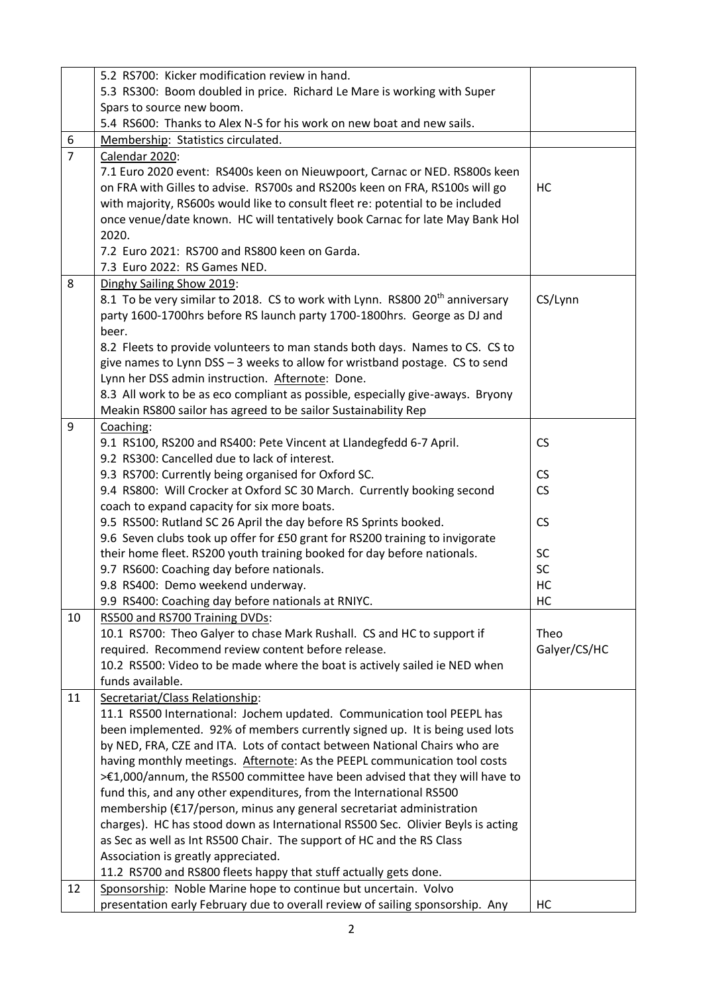|                | 5.2 RS700: Kicker modification review in hand.                                                                                                   |              |
|----------------|--------------------------------------------------------------------------------------------------------------------------------------------------|--------------|
|                | 5.3 RS300: Boom doubled in price. Richard Le Mare is working with Super                                                                          |              |
|                | Spars to source new boom.                                                                                                                        |              |
|                | 5.4 RS600: Thanks to Alex N-S for his work on new boat and new sails.                                                                            |              |
| 6              | Membership: Statistics circulated.                                                                                                               |              |
| $\overline{7}$ | Calendar 2020:                                                                                                                                   |              |
|                | 7.1 Euro 2020 event: RS400s keen on Nieuwpoort, Carnac or NED. RS800s keen                                                                       |              |
|                | on FRA with Gilles to advise. RS700s and RS200s keen on FRA, RS100s will go                                                                      | HC           |
|                | with majority, RS600s would like to consult fleet re: potential to be included                                                                   |              |
|                | once venue/date known. HC will tentatively book Carnac for late May Bank Hol                                                                     |              |
|                | 2020.                                                                                                                                            |              |
|                | 7.2 Euro 2021: RS700 and RS800 keen on Garda.                                                                                                    |              |
|                | 7.3 Euro 2022: RS Games NED.                                                                                                                     |              |
| 8              | Dinghy Sailing Show 2019:                                                                                                                        |              |
|                | 8.1 To be very similar to 2018. CS to work with Lynn. RS800 20 <sup>th</sup> anniversary                                                         | CS/Lynn      |
|                | party 1600-1700hrs before RS launch party 1700-1800hrs. George as DJ and                                                                         |              |
|                | beer.                                                                                                                                            |              |
|                | 8.2 Fleets to provide volunteers to man stands both days. Names to CS. CS to                                                                     |              |
|                | give names to Lynn DSS - 3 weeks to allow for wristband postage. CS to send                                                                      |              |
|                | Lynn her DSS admin instruction. Afternote: Done.                                                                                                 |              |
|                | 8.3 All work to be as eco compliant as possible, especially give-aways. Bryony                                                                   |              |
|                | Meakin RS800 sailor has agreed to be sailor Sustainability Rep                                                                                   |              |
| 9              | Coaching:                                                                                                                                        |              |
|                | 9.1 RS100, RS200 and RS400: Pete Vincent at Llandegfedd 6-7 April.                                                                               | <b>CS</b>    |
|                | 9.2 RS300: Cancelled due to lack of interest.                                                                                                    |              |
|                | 9.3 RS700: Currently being organised for Oxford SC.                                                                                              | CS           |
|                | 9.4 RS800: Will Crocker at Oxford SC 30 March. Currently booking second                                                                          | <b>CS</b>    |
|                | coach to expand capacity for six more boats.<br>9.5 RS500: Rutland SC 26 April the day before RS Sprints booked.                                 | <b>CS</b>    |
|                | 9.6 Seven clubs took up offer for £50 grant for RS200 training to invigorate                                                                     |              |
|                | their home fleet. RS200 youth training booked for day before nationals.                                                                          | <b>SC</b>    |
|                | 9.7 RS600: Coaching day before nationals.                                                                                                        | SC           |
|                | 9.8 RS400: Demo weekend underway.                                                                                                                | HC           |
|                | 9.9 RS400: Coaching day before nationals at RNIYC.                                                                                               | HC           |
| 10             | RS500 and RS700 Training DVDs:                                                                                                                   |              |
|                | 10.1 RS700: Theo Galyer to chase Mark Rushall. CS and HC to support if                                                                           | Theo         |
|                | required. Recommend review content before release.                                                                                               | Galyer/CS/HC |
|                | 10.2 RS500: Video to be made where the boat is actively sailed ie NED when                                                                       |              |
|                | funds available.                                                                                                                                 |              |
| 11             | Secretariat/Class Relationship:                                                                                                                  |              |
|                | 11.1 RS500 International: Jochem updated. Communication tool PEEPL has                                                                           |              |
|                | been implemented. 92% of members currently signed up. It is being used lots                                                                      |              |
|                | by NED, FRA, CZE and ITA. Lots of contact between National Chairs who are                                                                        |              |
|                | having monthly meetings. Afternote: As the PEEPL communication tool costs                                                                        |              |
|                | >€1,000/annum, the RS500 committee have been advised that they will have to                                                                      |              |
|                | fund this, and any other expenditures, from the International RS500                                                                              |              |
|                | membership (€17/person, minus any general secretariat administration                                                                             |              |
|                | charges). HC has stood down as International RS500 Sec. Olivier Beyls is acting                                                                  |              |
|                | as Sec as well as Int RS500 Chair. The support of HC and the RS Class                                                                            |              |
|                | Association is greatly appreciated.                                                                                                              |              |
|                | 11.2 RS700 and RS800 fleets happy that stuff actually gets done.                                                                                 |              |
| 12             | Sponsorship: Noble Marine hope to continue but uncertain. Volvo<br>presentation early February due to overall review of sailing sponsorship. Any | HC           |
|                |                                                                                                                                                  |              |